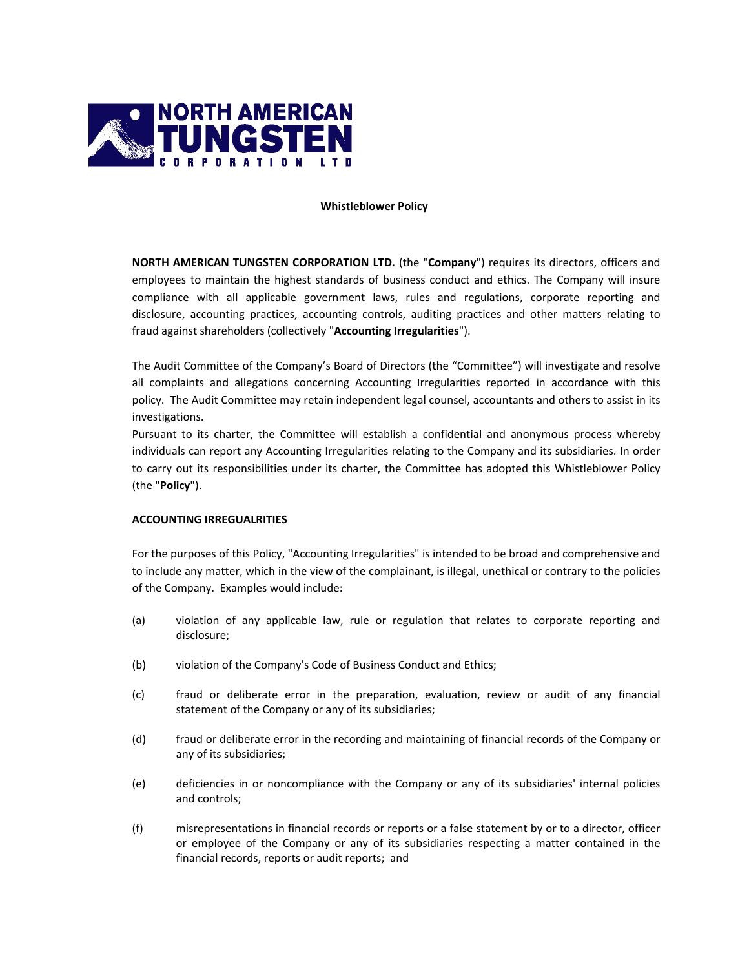

## **Whistleblower Policy**

**NORTH AMERICAN TUNGSTEN CORPORATION LTD.** (the "**Company**") requires its directors, officers and employees to maintain the highest standards of business conduct and ethics. The Company will insure compliance with all applicable government laws, rules and regulations, corporate reporting and disclosure, accounting practices, accounting controls, auditing practices and other matters relating to fraud against shareholders (collectively "**Accounting Irregularities**").

The Audit Committee of the Company's Board of Directors (the "Committee") will investigate and resolve all complaints and allegations concerning Accounting Irregularities reported in accordance with this policy. The Audit Committee may retain independent legal counsel, accountants and others to assist in its investigations.

Pursuant to its charter, the Committee will establish a confidential and anonymous process whereby individuals can report any Accounting Irregularities relating to the Company and its subsidiaries. In order to carry out its responsibilities under its charter, the Committee has adopted this Whistleblower Policy (the "**Policy**").

# **ACCOUNTING IRREGUALRITIES**

For the purposes of this Policy, "Accounting Irregularities" is intended to be broad and comprehensive and to include any matter, which in the view of the complainant, is illegal, unethical or contrary to the policies of the Company. Examples would include:

- (a) violation of any applicable law, rule or regulation that relates to corporate reporting and disclosure;
- (b) violation of the Company's Code of Business Conduct and Ethics;
- (c) fraud or deliberate error in the preparation, evaluation, review or audit of any financial statement of the Company or any of its subsidiaries;
- (d) fraud or deliberate error in the recording and maintaining of financial records of the Company or any of its subsidiaries;
- (e) deficiencies in or noncompliance with the Company or any of its subsidiaries' internal policies and controls;
- (f) misrepresentations in financial records or reports or a false statement by or to a director, officer or employee of the Company or any of its subsidiaries respecting a matter contained in the financial records, reports or audit reports; and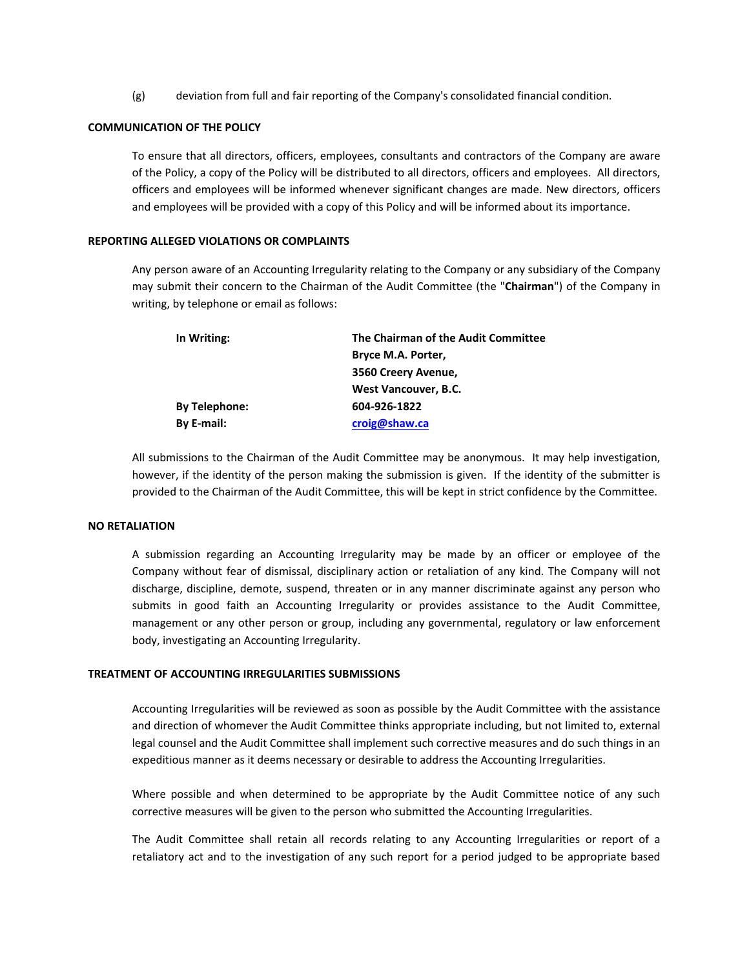(g) deviation from full and fair reporting of the Company's consolidated financial condition.

# **COMMUNICATION OF THE POLICY**

To ensure that all directors, officers, employees, consultants and contractors of the Company are aware of the Policy, a copy of the Policy will be distributed to all directors, officers and employees. All directors, officers and employees will be informed whenever significant changes are made. New directors, officers and employees will be provided with a copy of this Policy and will be informed about its importance.

# **REPORTING ALLEGED VIOLATIONS OR COMPLAINTS**

Any person aware of an Accounting Irregularity relating to the Company or any subsidiary of the Company may submit their concern to the Chairman of the Audit Committee (the "**Chairman**") of the Company in writing, by telephone or email as follows:

| In Writing:          | The Chairman of the Audit Committee |
|----------------------|-------------------------------------|
|                      | Bryce M.A. Porter,                  |
|                      | 3560 Creery Avenue,                 |
|                      | West Vancouver, B.C.                |
| <b>By Telephone:</b> | 604-926-1822                        |
| By E-mail:           | croig@shaw.ca                       |
|                      |                                     |

All submissions to the Chairman of the Audit Committee may be anonymous. It may help investigation, however, if the identity of the person making the submission is given. If the identity of the submitter is provided to the Chairman of the Audit Committee, this will be kept in strict confidence by the Committee.

#### **NO RETALIATION**

A submission regarding an Accounting Irregularity may be made by an officer or employee of the Company without fear of dismissal, disciplinary action or retaliation of any kind. The Company will not discharge, discipline, demote, suspend, threaten or in any manner discriminate against any person who submits in good faith an Accounting Irregularity or provides assistance to the Audit Committee, management or any other person or group, including any governmental, regulatory or law enforcement body, investigating an Accounting Irregularity.

# **TREATMENT OF ACCOUNTING IRREGULARITIES SUBMISSIONS**

Accounting Irregularities will be reviewed as soon as possible by the Audit Committee with the assistance and direction of whomever the Audit Committee thinks appropriate including, but not limited to, external legal counsel and the Audit Committee shall implement such corrective measures and do such things in an expeditious manner as it deems necessary or desirable to address the Accounting Irregularities.

Where possible and when determined to be appropriate by the Audit Committee notice of any such corrective measures will be given to the person who submitted the Accounting Irregularities.

The Audit Committee shall retain all records relating to any Accounting Irregularities or report of a retaliatory act and to the investigation of any such report for a period judged to be appropriate based